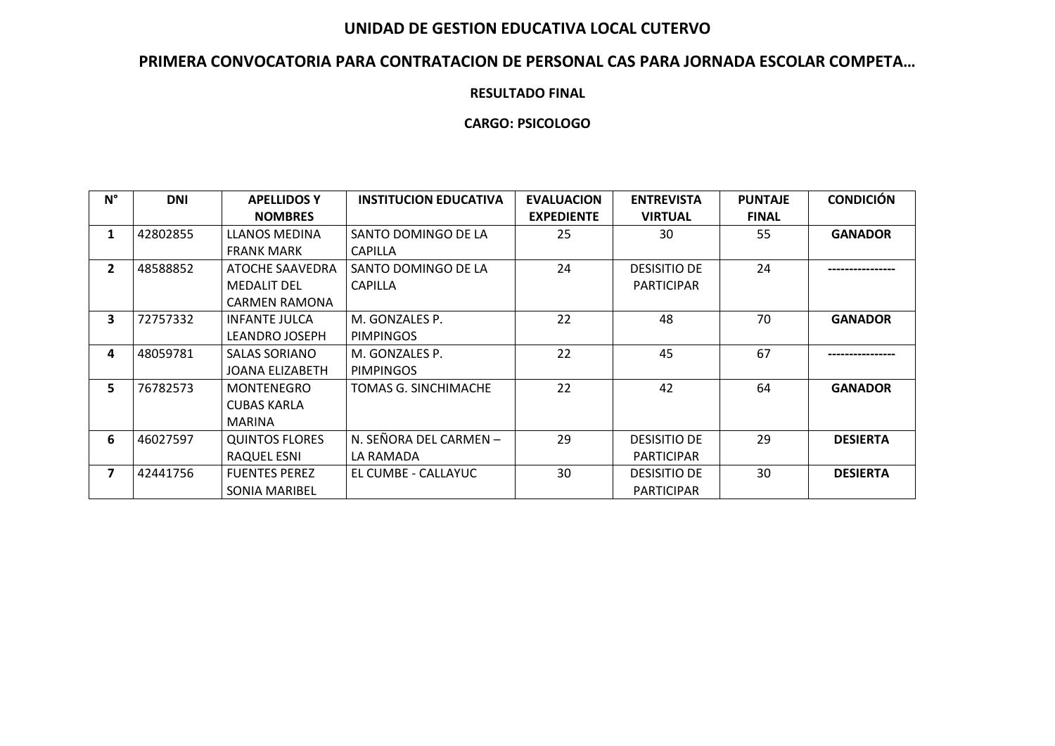## **UNIDAD DE GESTION EDUCATIVA LOCAL CUTERVO**

# **PRIMERA CONVOCATORIA PARA CONTRATACION DE PERSONAL CAS PARA JORNADA ESCOLAR COMPETA…**

#### **RESULTADO FINAL**

### **CARGO: PSICOLOGO**

| $N^{\circ}$    | <b>DNI</b> | <b>APELLIDOS Y</b>    | <b>INSTITUCION EDUCATIVA</b> | <b>EVALUACION</b> | <b>ENTREVISTA</b>   | <b>PUNTAJE</b> | <b>CONDICIÓN</b> |
|----------------|------------|-----------------------|------------------------------|-------------------|---------------------|----------------|------------------|
|                |            | <b>NOMBRES</b>        |                              | <b>EXPEDIENTE</b> | <b>VIRTUAL</b>      | <b>FINAL</b>   |                  |
| $\mathbf{1}$   | 42802855   | LLANOS MEDINA         | SANTO DOMINGO DE LA          | 25                | 30                  | 55             | <b>GANADOR</b>   |
|                |            | <b>FRANK MARK</b>     | <b>CAPILLA</b>               |                   |                     |                |                  |
| $\overline{2}$ | 48588852   | ATOCHE SAAVEDRA       | SANTO DOMINGO DE LA          | 24                | <b>DESISITIO DE</b> | 24             |                  |
|                |            | <b>MEDALIT DEL</b>    | <b>CAPILLA</b>               |                   | <b>PARTICIPAR</b>   |                |                  |
|                |            | <b>CARMEN RAMONA</b>  |                              |                   |                     |                |                  |
| 3              | 72757332   | <b>INFANTE JULCA</b>  | M. GONZALES P.               | 22                | 48                  | 70             | <b>GANADOR</b>   |
|                |            | LEANDRO JOSEPH        | <b>PIMPINGOS</b>             |                   |                     |                |                  |
| 4              | 48059781   | <b>SALAS SORIANO</b>  | M. GONZALES P.               | 22                | 45                  | 67             | .                |
|                |            | JOANA ELIZABETH       | <b>PIMPINGOS</b>             |                   |                     |                |                  |
| 5              | 76782573   | MONTENEGRO            | TOMAS G. SINCHIMACHE         | 22                | 42                  | 64             | <b>GANADOR</b>   |
|                |            | <b>CUBAS KARLA</b>    |                              |                   |                     |                |                  |
|                |            | MARINA                |                              |                   |                     |                |                  |
| 6              | 46027597   | <b>QUINTOS FLORES</b> | N. SEÑORA DEL CARMEN -       | 29                | <b>DESISITIO DE</b> | 29             | <b>DESIERTA</b>  |
|                |            | RAQUEL ESNI           | LA RAMADA                    |                   | <b>PARTICIPAR</b>   |                |                  |
| 7              | 42441756   | <b>FUENTES PEREZ</b>  | EL CUMBE - CALLAYUC          | 30                | <b>DESISITIO DE</b> | 30             | <b>DESIERTA</b>  |
|                |            | <b>SONIA MARIBEL</b>  |                              |                   | <b>PARTICIPAR</b>   |                |                  |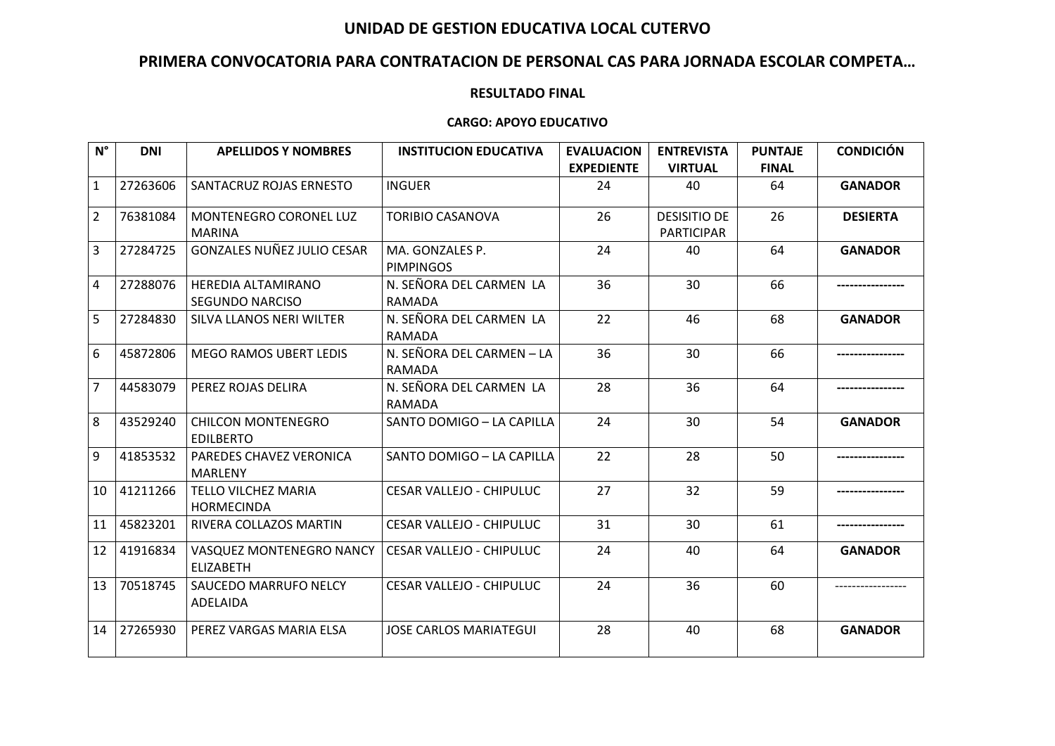## **UNIDAD DE GESTION EDUCATIVA LOCAL CUTERVO**

# **PRIMERA CONVOCATORIA PARA CONTRATACION DE PERSONAL CAS PARA JORNADA ESCOLAR COMPETA…**

#### **RESULTADO FINAL**

#### **CARGO: APOYO EDUCATIVO**

| $N^{\circ}$    | <b>DNI</b> | <b>APELLIDOS Y NOMBRES</b>                      | <b>INSTITUCION EDUCATIVA</b>               | <b>EVALUACION</b> | <b>ENTREVISTA</b>                        | <b>PUNTAJE</b> | <b>CONDICIÓN</b> |
|----------------|------------|-------------------------------------------------|--------------------------------------------|-------------------|------------------------------------------|----------------|------------------|
|                |            |                                                 |                                            | <b>EXPEDIENTE</b> | <b>VIRTUAL</b>                           | <b>FINAL</b>   |                  |
| $\mathbf{1}$   | 27263606   | SANTACRUZ ROJAS ERNESTO                         | <b>INGUER</b>                              | 24                | 40                                       | 64             | <b>GANADOR</b>   |
| $\overline{2}$ | 76381084   | MONTENEGRO CORONEL LUZ<br><b>MARINA</b>         | <b>TORIBIO CASANOVA</b>                    | 26                | <b>DESISITIO DE</b><br><b>PARTICIPAR</b> | 26             | <b>DESIERTA</b>  |
| 3              | 27284725   | <b>GONZALES NUÑEZ JULIO CESAR</b>               | MA. GONZALES P.<br><b>PIMPINGOS</b>        | 24                | 40                                       | 64             | <b>GANADOR</b>   |
| 4              | 27288076   | <b>HEREDIA ALTAMIRANO</b><br>SEGUNDO NARCISO    | N. SEÑORA DEL CARMEN LA<br>RAMADA          | 36                | 30                                       | 66             |                  |
| 5              | 27284830   | SILVA LLANOS NERI WILTER                        | N. SEÑORA DEL CARMEN LA<br>RAMADA          | 22                | 46                                       | 68             | <b>GANADOR</b>   |
| 6              | 45872806   | <b>MEGO RAMOS UBERT LEDIS</b>                   | N. SEÑORA DEL CARMEN - LA<br><b>RAMADA</b> | 36                | 30                                       | 66             |                  |
| $\overline{7}$ | 44583079   | PEREZ ROJAS DELIRA                              | N. SEÑORA DEL CARMEN LA<br>RAMADA          | 28                | 36                                       | 64             |                  |
| 8              | 43529240   | <b>CHILCON MONTENEGRO</b><br><b>EDILBERTO</b>   | SANTO DOMIGO - LA CAPILLA                  | 24                | 30                                       | 54             | <b>GANADOR</b>   |
| 9              | 41853532   | PAREDES CHAVEZ VERONICA<br>MARLENY              | SANTO DOMIGO - LA CAPILLA                  | 22                | 28                                       | 50             |                  |
| 10             | 41211266   | <b>TELLO VILCHEZ MARIA</b><br><b>HORMECINDA</b> | <b>CESAR VALLEJO - CHIPULUC</b>            | 27                | 32                                       | 59             |                  |
| 11             | 45823201   | RIVERA COLLAZOS MARTIN                          | <b>CESAR VALLEJO - CHIPULUC</b>            | 31                | 30                                       | 61             |                  |
| 12             | 41916834   | VASQUEZ MONTENEGRO NANCY<br><b>ELIZABETH</b>    | CESAR VALLEJO - CHIPULUC                   | 24                | 40                                       | 64             | <b>GANADOR</b>   |
| 13             | 70518745   | SAUCEDO MARRUFO NELCY<br>ADELAIDA               | <b>CESAR VALLEJO - CHIPULUC</b>            | 24                | 36                                       | 60             |                  |
| 14             | 27265930   | PEREZ VARGAS MARIA ELSA                         | <b>JOSE CARLOS MARIATEGUI</b>              | 28                | 40                                       | 68             | <b>GANADOR</b>   |